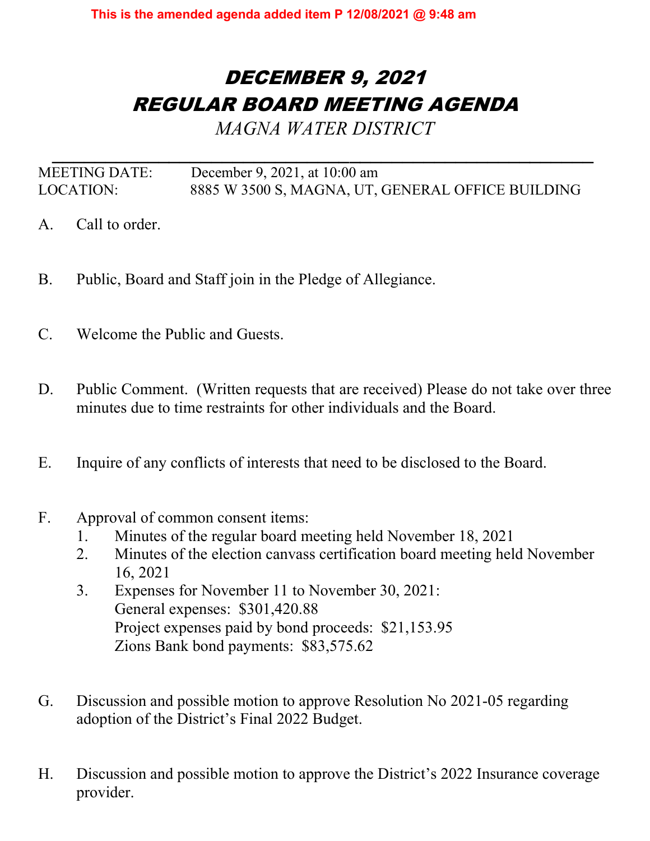## DECEMBER 9, 2021 REGULAR BOARD MEETING AGENDA

*MAGNA WATER DISTRICT* 

*\_\_\_\_\_\_\_\_\_\_\_\_\_\_\_\_\_\_\_\_\_\_\_\_\_\_\_\_\_\_\_\_\_\_\_\_\_\_\_\_\_\_\_\_\_\_\_\_\_\_\_* MEETING DATE: December 9, 2021, at 10:00 am LOCATION: 8885 W 3500 S, MAGNA, UT, GENERAL OFFICE BUILDING

- A. Call to order.
- B. Public, Board and Staff join in the Pledge of Allegiance.
- C. Welcome the Public and Guests.
- D. Public Comment. (Written requests that are received) Please do not take over three minutes due to time restraints for other individuals and the Board.
- E. Inquire of any conflicts of interests that need to be disclosed to the Board.
- F. Approval of common consent items:
	- 1. Minutes of the regular board meeting held November 18, 2021
	- 2. Minutes of the election canvass certification board meeting held November 16, 2021
	- 3. Expenses for November 11 to November 30, 2021: General expenses: \$301,420.88 Project expenses paid by bond proceeds: \$21,153.95 Zions Bank bond payments: \$83,575.62
- G. Discussion and possible motion to approve Resolution No 2021-05 regarding adoption of the District's Final 2022 Budget.
- H. Discussion and possible motion to approve the District's 2022 Insurance coverage provider.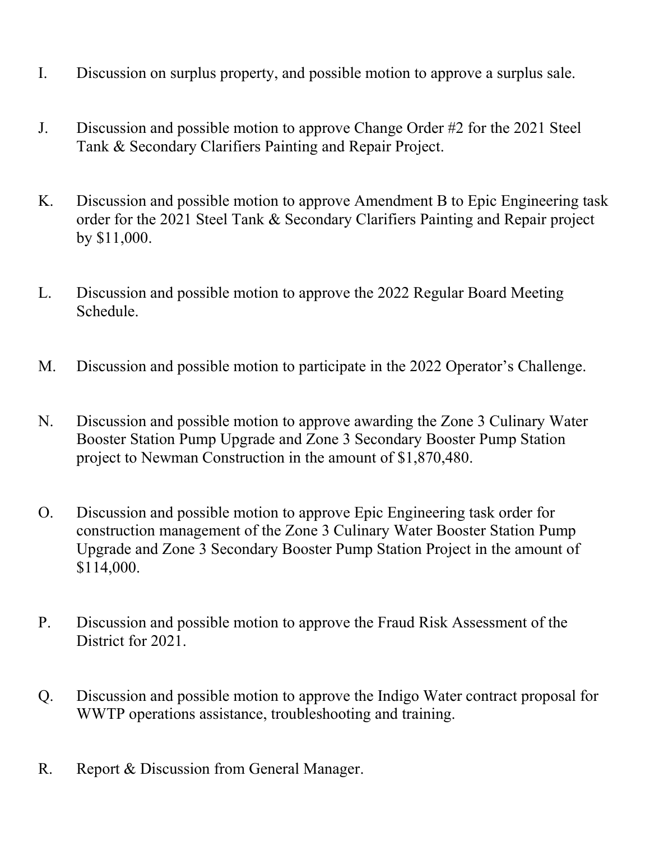- I. Discussion on surplus property, and possible motion to approve a surplus sale.
- J. Discussion and possible motion to approve Change Order #2 for the 2021 Steel Tank & Secondary Clarifiers Painting and Repair Project.
- K. Discussion and possible motion to approve Amendment B to Epic Engineering task order for the 2021 Steel Tank & Secondary Clarifiers Painting and Repair project by \$11,000.
- L. Discussion and possible motion to approve the 2022 Regular Board Meeting Schedule.
- M. Discussion and possible motion to participate in the 2022 Operator's Challenge.
- N. Discussion and possible motion to approve awarding the Zone 3 Culinary Water Booster Station Pump Upgrade and Zone 3 Secondary Booster Pump Station project to Newman Construction in the amount of \$1,870,480.
- O. Discussion and possible motion to approve Epic Engineering task order for construction management of the Zone 3 Culinary Water Booster Station Pump Upgrade and Zone 3 Secondary Booster Pump Station Project in the amount of \$114,000.
- P. Discussion and possible motion to approve the Fraud Risk Assessment of the District for 2021.
- Q. Discussion and possible motion to approve the Indigo Water contract proposal for WWTP operations assistance, troubleshooting and training.
- R. Report & Discussion from General Manager.